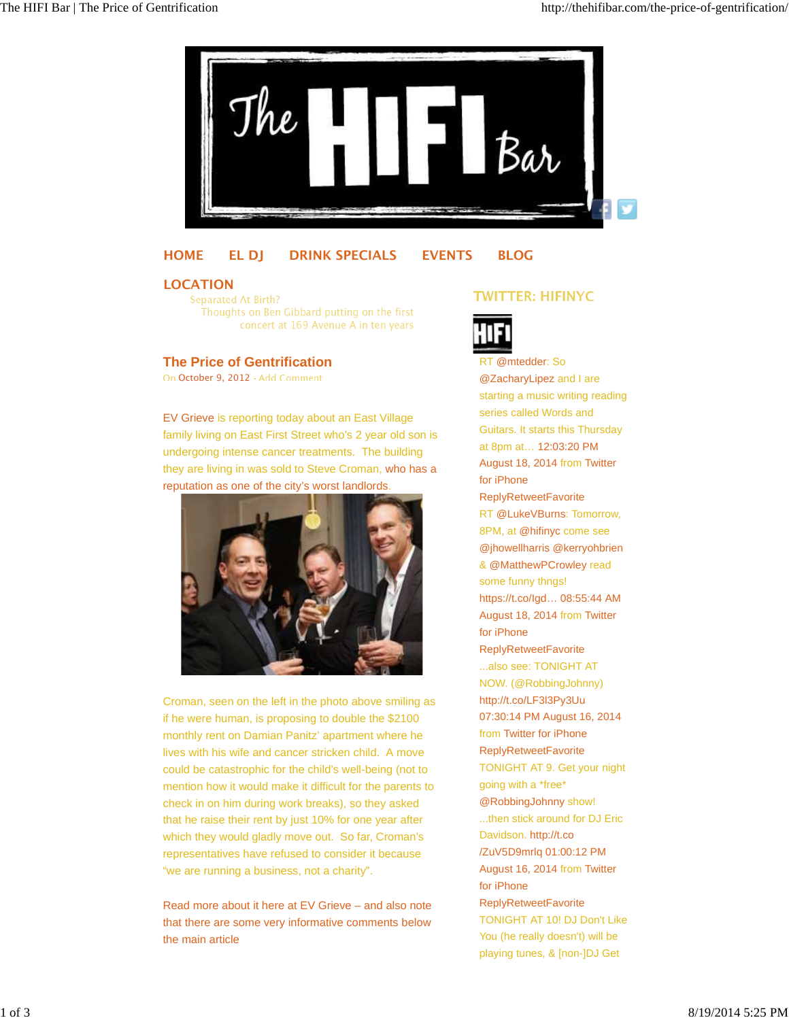

## **HOME EL DJ DRINK SPECIALS EVENTS BLOG**

#### **LOCATION**

Separated At Birth? Thoughts on Ben Gibbard putting on the first concert at 169 Avenue A in ten years

## **The Price of Gentrification**

On October 9, 2012 · Add Comment

EV Grieve is reporting today about an East Village family living on East First Street who's 2 year old son is undergoing intense cancer treatments. The building they are living in was sold to Steve Croman, who has a reputation as one of the city's worst landlords.



Croman, seen on the left in the photo above smiling as if he were human, is proposing to double the \$2100 monthly rent on Damian Panitz' apartment where he lives with his wife and cancer stricken child. A move could be catastrophic for the child's well-being (not to mention how it would make it difficult for the parents to check in on him during work breaks), so they asked that he raise their rent by just 10% for one year after which they would gladly move out. So far, Croman's representatives have refused to consider it because "we are running a business, not a charity".

Read more about it here at EV Grieve – and also note that there are some very informative comments below the main article

# **TWITTER: HIFINYC**



RT @mtedder: So @ZacharyLipez and I are starting a music writing reading series called Words and Guitars. It starts this Thursday at 8pm at… 12:03:20 PM August 18, 2014 from Twitter for iPhone ReplyRetweetFavorite RT @LukeVBurns: Tomorrow, 8PM, at @hifinyc come see @jhowellharris @kerryohbrien & @MatthewPCrowley read some funny thngs! https://t.co/Igd… 08:55:44 AM August 18, 2014 from Twitter for iPhone ReplyRetweetFavorite ...also see: TONIGHT AT NOW. (@RobbingJohnny) http://t.co/LF3l3Py3Uu 07:30:14 PM August 16, 2014 from Twitter for iPhone ReplyRetweetFavorite TONIGHT AT 9. Get your night going with a \*free\* @RobbingJohnny show! ...then stick around for DJ Eric Davidson. http://t.co /ZuV5D9mrlq 01:00:12 PM August 16, 2014 from Twitter for iPhone ReplyRetweetFavorite TONIGHT AT 10! DJ Don't Like You (he really doesn't) will be

playing tunes, & [non-]DJ Get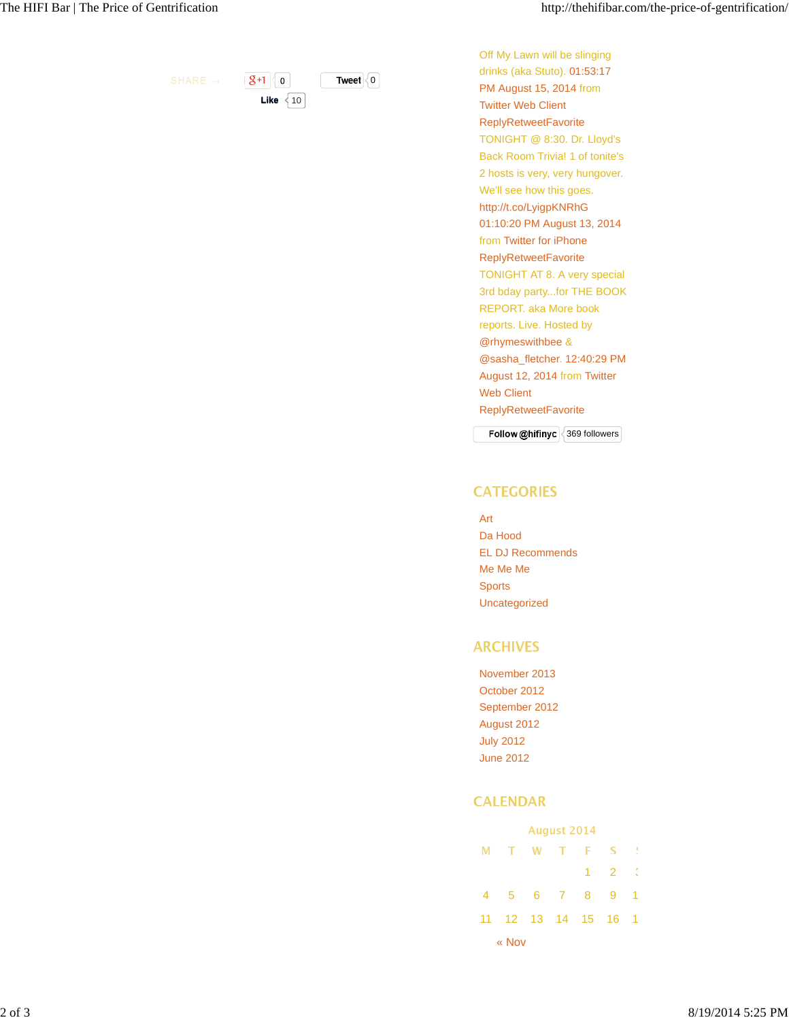$8+1$  0 **Tweet** 0

**Like**  $\sqrt{10}$ 

Off My Lawn will be slinging drinks (aka Stuto). 01:53:17 PM August 15, 2014 from Twitter Web Client ReplyRetweetFavorite TONIGHT @ 8:30. Dr. Lloyd's Back Room Trivia! 1 of tonite's 2 hosts is very, very hungover. We'll see how this goes. http://t.co/LyigpKNRhG 01:10:20 PM August 13, 2014 from Twitter for iPhone ReplyRetweetFavorite TONIGHT AT 8. A very special 3rd bday party...for THE BOOK REPORT. aka More book reports. Live. Hosted by @rhymeswithbee & @sasha\_fletcher. 12:40:29 PM August 12, 2014 from Twitter Web Client ReplyRetweetFavorite

**Follow @hifinyc** 369 followers

#### **CATEGORIES**

- Art
- Da Hood EL DJ Recommends Me Me Me Sports Uncategorized

## **ARCHIVES**

November 2013 October 2012 September 2012 August 2012 July 2012 June 2012

## **CALENDAR**

| <b>August 2014</b> |                        |  |  |  |                          |     |  |  |  |  |
|--------------------|------------------------|--|--|--|--------------------------|-----|--|--|--|--|
|                    | M T W T F S !          |  |  |  |                          |     |  |  |  |  |
|                    |                        |  |  |  | $1 \quad 2 \quad \ddots$ |     |  |  |  |  |
| 4                  | 5 6 7 8 9              |  |  |  |                          | - 1 |  |  |  |  |
|                    | 11  12  13  14  15  16 |  |  |  |                          | - 1 |  |  |  |  |
| « Nov              |                        |  |  |  |                          |     |  |  |  |  |